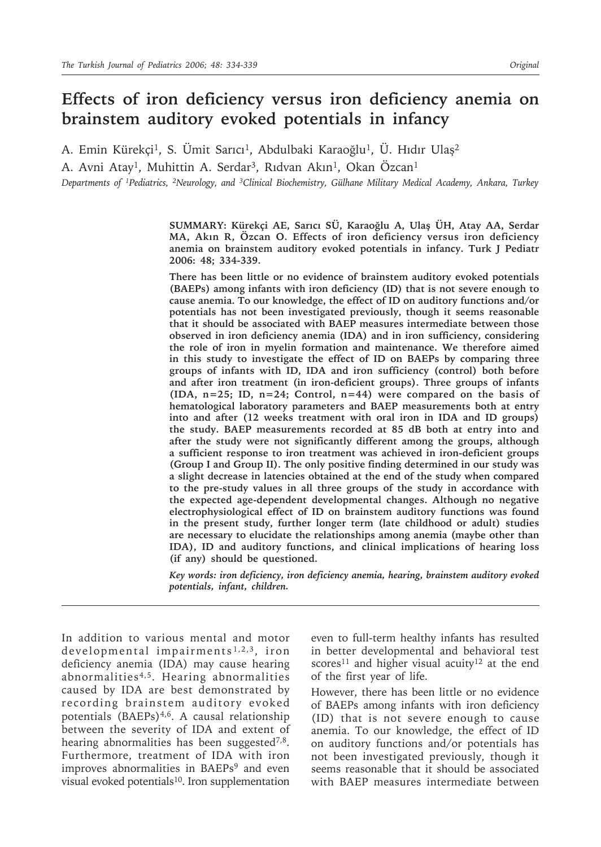# **Effects of iron deficiency versus iron deficiency anemia on brainstem auditory evoked potentials in infancy**

A. Emin Kürekçi<sup>1</sup>, S. Ümit Sarıcı<sup>1</sup>, Abdulbaki Karaoğlu<sup>1</sup>, Ü. Hıdır Ulaş<sup>2</sup>

A. Avni Atay<sup>1</sup>, Muhittin A. Serdar<sup>3</sup>, Rıdvan Akın<sup>1</sup>, Okan Özcan<sup>1</sup>

*Departments of 1Pediatrics, 2Neurology, and 3Clinical Biochemistry, Gülhane Military Medical Academy, Ankara, Turkey*

**SUMMARY: Kürekçi AE, Sarıcı SÜ, Karaoğlu A, Ulaş ÜH, Atay AA, Serdar MA, Akın R, Özcan O. Effects of iron deficiency versus iron deficiency anemia on brainstem auditory evoked potentials in infancy. Turk J Pediatr 2006: 48; 334-339.**

**There has been little or no evidence of brainstem auditory evoked potentials (BAEPs) among infants with iron deficiency (ID) that is not severe enough to cause anemia. To our knowledge, the effect of ID on auditory functions and/or potentials has not been investigated previously, though it seems reasonable that it should be associated with BAEP measures intermediate between those observed in iron deficiency anemia (IDA) and in iron sufficiency, considering the role of iron in myelin formation and maintenance. We therefore aimed in this study to investigate the effect of ID on BAEPs by comparing three groups of infants with ID, IDA and iron sufficiency (control) both before and after iron treatment (in iron-deficient groups). Three groups of infants (IDA, n=25; ID, n=24; Control, n=44) were compared on the basis of hematological laboratory parameters and BAEP measurements both at entry into and after (12 weeks treatment with oral iron in IDA and ID groups) the study. BAEP measurements recorded at 85 dB both at entry into and after the study were not significantly different among the groups, although a sufficient response to iron treatment was achieved in iron-deficient groups (Group I and Group II). The only positive finding determined in our study was a slight decrease in latencies obtained at the end of the study when compared to the pre-study values in all three groups of the study in accordance with the expected age-dependent developmental changes. Although no negative electrophysiological effect of ID on brainstem auditory functions was found in the present study, further longer term (late childhood or adult) studies are necessary to elucidate the relationships among anemia (maybe other than IDA), ID and auditory functions, and clinical implications of hearing loss (if any) should be questioned.**

*Key words: iron deficiency, iron deficiency anemia, hearing, brainstem auditory evoked potentials, infant, children.*

In addition to various mental and motor developmental impairments<sup>1,2,3</sup>, iron deficiency anemia (IDA) may cause hearing abnormalities4,5. Hearing abnormalities caused by IDA are best demonstrated by recording brainstem auditory evoked potentials (BAEPs)<sup>4,6</sup>. A causal relationship between the severity of IDA and extent of hearing abnormalities has been suggested<sup>7,8</sup>. Furthermore, treatment of IDA with iron improves abnormalities in BAEPs<sup>9</sup> and even visual evoked potentials<sup>10</sup>. Iron supplementation

even to full-term healthy infants has resulted in better developmental and behavioral test scores<sup>11</sup> and higher visual acuity<sup>12</sup> at the end of the first year of life.

However, there has been little or no evidence of BAEPs among infants with iron deficiency (ID) that is not severe enough to cause anemia. To our knowledge, the effect of ID on auditory functions and/or potentials has not been investigated previously, though it seems reasonable that it should be associated with BAEP measures intermediate between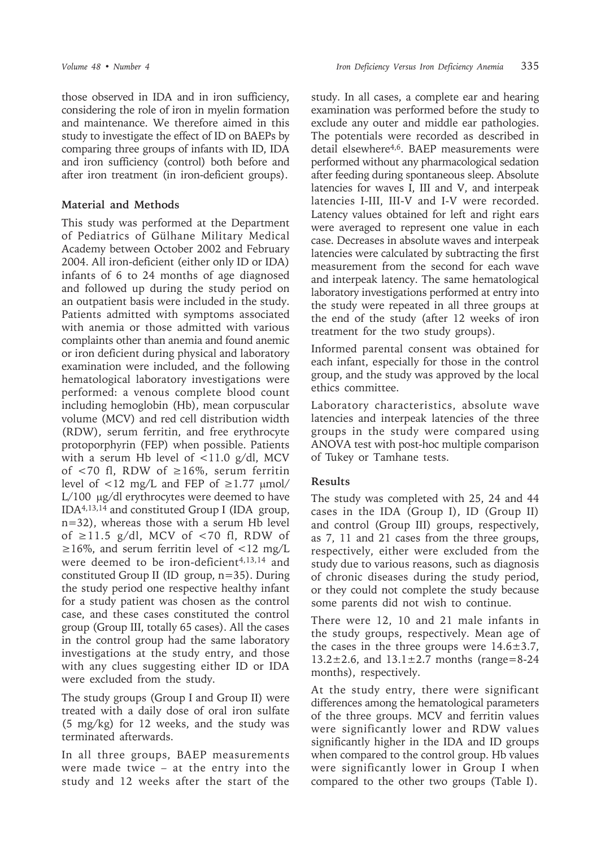those observed in IDA and in iron sufficiency, considering the role of iron in myelin formation and maintenance. We therefore aimed in this study to investigate the effect of ID on BAEPs by comparing three groups of infants with ID, IDA and iron sufficiency (control) both before and after iron treatment (in iron-deficient groups).

## **Material and Methods**

This study was performed at the Department of Pediatrics of Gülhane Military Medical Academy between October 2002 and February 2004. All iron-deficient (either only ID or IDA) infants of 6 to 24 months of age diagnosed and followed up during the study period on an outpatient basis were included in the study. Patients admitted with symptoms associated with anemia or those admitted with various complaints other than anemia and found anemic or iron deficient during physical and laboratory examination were included, and the following hematological laboratory investigations were performed: a venous complete blood count including hemoglobin (Hb), mean corpuscular volume (MCV) and red cell distribution width (RDW), serum ferritin, and free erythrocyte protoporphyrin (FEP) when possible. Patients with a serum Hb level of  $\langle 11.0 \text{ g/d} \rangle$ , MCV of <70 fl, RDW of ≥16%, serum ferritin level of  $\langle 12 \text{ mg/L} \rangle$  and FEP of  $\geq 1.77 \text{ \mu mol}$ L/100 µg/dl erythrocytes were deemed to have IDA4,13,14 and constituted Group I (IDA group, n=32), whereas those with a serum Hb level of ≥11.5 g/dl, MCV of <70 fl, RDW of  $\geq 16\%$ , and serum ferritin level of <12 mg/L were deemed to be iron-deficient<sup>4,13,14</sup> and constituted Group II (ID group, n=35). During the study period one respective healthy infant for a study patient was chosen as the control case, and these cases constituted the control group (Group III, totally 65 cases). All the cases in the control group had the same laboratory investigations at the study entry, and those with any clues suggesting either ID or IDA were excluded from the study.

The study groups (Group I and Group II) were treated with a daily dose of oral iron sulfate (5 mg/kg) for 12 weeks, and the study was terminated afterwards.

In all three groups, BAEP measurements were made twice – at the entry into the study and 12 weeks after the start of the study. In all cases, a complete ear and hearing examination was performed before the study to exclude any outer and middle ear pathologies. The potentials were recorded as described in detail elsewhere4,6. BAEP measurements were performed without any pharmacological sedation after feeding during spontaneous sleep. Absolute latencies for waves I, III and V, and interpeak latencies I-III, III-V and I-V were recorded. Latency values obtained for left and right ears were averaged to represent one value in each case. Decreases in absolute waves and interpeak latencies were calculated by subtracting the first measurement from the second for each wave and interpeak latency. The same hematological laboratory investigations performed at entry into the study were repeated in all three groups at the end of the study (after 12 weeks of iron treatment for the two study groups).

Informed parental consent was obtained for each infant, especially for those in the control group, and the study was approved by the local ethics committee.

Laboratory characteristics, absolute wave latencies and interpeak latencies of the three groups in the study were compared using ANOVA test with post-hoc multiple comparison of Tukey or Tamhane tests.

### **Results**

The study was completed with 25, 24 and 44 cases in the IDA (Group I), ID (Group II) and control (Group III) groups, respectively, as 7, 11 and 21 cases from the three groups, respectively, either were excluded from the study due to various reasons, such as diagnosis of chronic diseases during the study period, or they could not complete the study because some parents did not wish to continue.

There were 12, 10 and 21 male infants in the study groups, respectively. Mean age of the cases in the three groups were  $14.6 \pm 3.7$ ,  $13.2 \pm 2.6$ , and  $13.1 \pm 2.7$  months (range=8-24 months), respectively.

At the study entry, there were significant differences among the hematological parameters of the three groups. MCV and ferritin values were significantly lower and RDW values significantly higher in the IDA and ID groups when compared to the control group. Hb values were significantly lower in Group I when compared to the other two groups (Table I).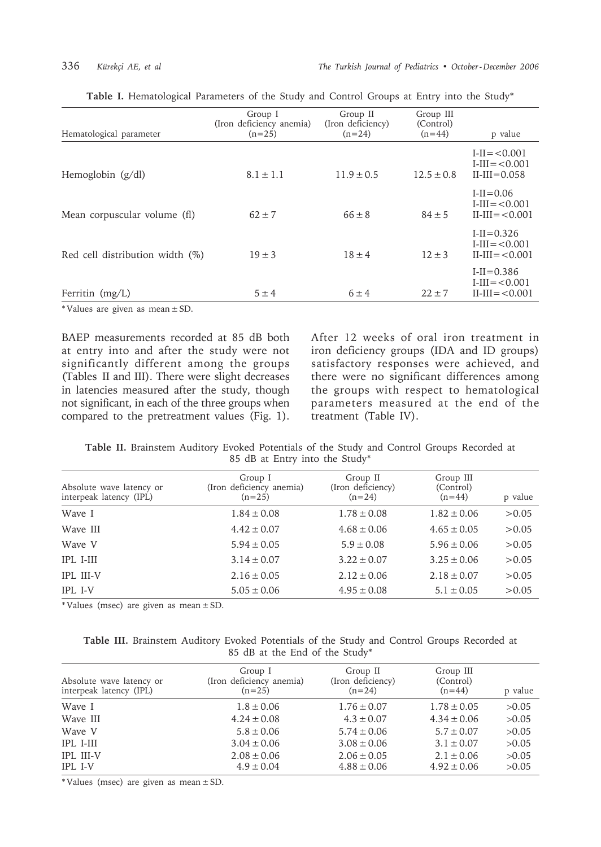| Hematological parameter         | Group I<br>(Iron deficiency anemia)<br>$(n=25)$ | Group II<br>(Iron deficiency)<br>$(n=24)$ | Group III<br>(Control)<br>$(n=44)$ | p value                                                      |
|---------------------------------|-------------------------------------------------|-------------------------------------------|------------------------------------|--------------------------------------------------------------|
| Hemoglobin $(g/dl)$             | $8.1 \pm 1.1$                                   | $11.9 \pm 0.5$                            | $12.5 \pm 0.8$                     | $I-II = < 0.001$<br>$I-III = < 0.001$<br>$II$ -III=0.058     |
| Mean corpuscular volume (fl)    | $62 \pm 7$                                      | $66 \pm 8$                                | $84 \pm 5$                         | $I-II = 0.06$<br>$I-III = < 0.001$<br>$II$ -III= $< 0.001$   |
| Red cell distribution width (%) | $19 \pm 3$                                      | $18 \pm 4$                                | $12 \pm 3$                         | $I-I = 0.326$<br>$I-III = < 0.001$<br>$II$ - $III = < 0.001$ |
| Ferritin (mg/L)                 | $5 \pm 4$                                       | $6 \pm 4$                                 | $22 \pm 7$                         | $I-I = 0.386$<br>$I-III = < 0.001$<br>$II-III = < 0.001$     |

|  | Table I. Hematological Parameters of the Study and Control Groups at Entry into the Study* |  |  |  |  |  |  |  |  |  |  |  |
|--|--------------------------------------------------------------------------------------------|--|--|--|--|--|--|--|--|--|--|--|
|--|--------------------------------------------------------------------------------------------|--|--|--|--|--|--|--|--|--|--|--|

\* Values are given as mean ± SD.

BAEP measurements recorded at 85 dB both at entry into and after the study were not significantly different among the groups (Tables II and III). There were slight decreases in latencies measured after the study, though not significant, in each of the three groups when compared to the pretreatment values (Fig. 1). After 12 weeks of oral iron treatment in iron deficiency groups (IDA and ID groups) satisfactory responses were achieved, and there were no significant differences among the groups with respect to hematological parameters measured at the end of the treatment (Table IV).

**Table II.** Brainstem Auditory Evoked Potentials of the Study and Control Groups Recorded at 85 dB at Entry into the Study\*

| Absolute wave latency or<br>interpeak latency (IPL) | Group I<br>(Iron deficiency anemia)<br>$(n=25)$ | Group II<br>(Iron deficiency)<br>$(n=24)$ | Group III<br>(Control)<br>$(n=44)$ | p value |
|-----------------------------------------------------|-------------------------------------------------|-------------------------------------------|------------------------------------|---------|
| Wave I                                              | $1.84 \pm 0.08$                                 | $1.78 \pm 0.08$                           | $1.82 \pm 0.06$                    | > 0.05  |
| Wave III                                            | $4.42 \pm 0.07$                                 | $4.68 \pm 0.06$                           | $4.65 \pm 0.05$                    | >0.05   |
| Wave V                                              | $5.94 \pm 0.05$                                 | $5.9 \pm 0.08$                            | $5.96 \pm 0.06$                    | > 0.05  |
| <b>IPL I-III</b>                                    | $3.14 \pm 0.07$                                 | $3.22 \pm 0.07$                           | $3.25 \pm 0.06$                    | > 0.05  |
| <b>IPL III-V</b>                                    | $2.16 \pm 0.05$                                 | $2.12 \pm 0.06$                           | $2.18 \pm 0.07$                    | > 0.05  |
| <b>IPL I-V</b>                                      | $5.05 \pm 0.06$                                 | $4.95 \pm 0.08$                           | $5.1 \pm 0.05$                     | > 0.05  |

\* Values (msec) are given as mean ± SD.

|  | Table III. Brainstem Auditory Evoked Potentials of the Study and Control Groups Recorded at |  |                                |  |  |  |
|--|---------------------------------------------------------------------------------------------|--|--------------------------------|--|--|--|
|  |                                                                                             |  | 85 dB at the End of the Study* |  |  |  |

| Absolute wave latency or<br>interpeak latency (IPL) | Group I<br>(Iron deficiency anemia)<br>$(n=25)$ | Group II<br>(Iron deficiency)<br>$(n=24)$ | Group III<br>(Control)<br>$(n=44)$ | p value |
|-----------------------------------------------------|-------------------------------------------------|-------------------------------------------|------------------------------------|---------|
|                                                     |                                                 |                                           |                                    |         |
| Wave I                                              | $1.8 \pm 0.06$                                  | $1.76 \pm 0.07$                           | $1.78 \pm 0.05$                    | >0.05   |
| Wave III                                            | $4.24 \pm 0.08$                                 | $4.3 \pm 0.07$                            | $4.34 \pm 0.06$                    | >0.05   |
| Wave V                                              | $5.8 \pm 0.06$                                  | $5.74 \pm 0.06$                           | $5.7 \pm 0.07$                     | >0.05   |
| <b>IPL I-III</b>                                    | $3.04 \pm 0.06$                                 | $3.08 \pm 0.06$                           | $3.1 \pm 0.07$                     | >0.05   |
| <b>IPL III-V</b>                                    | $2.08 \pm 0.06$                                 | $2.06 \pm 0.05$                           | $2.1 \pm 0.06$                     | >0.05   |
| IPL I-V                                             | $4.9 \pm 0.04$                                  | $4.88 \pm 0.06$                           | $4.92 \pm 0.06$                    | >0.05   |

\* Values (msec) are given as mean ± SD.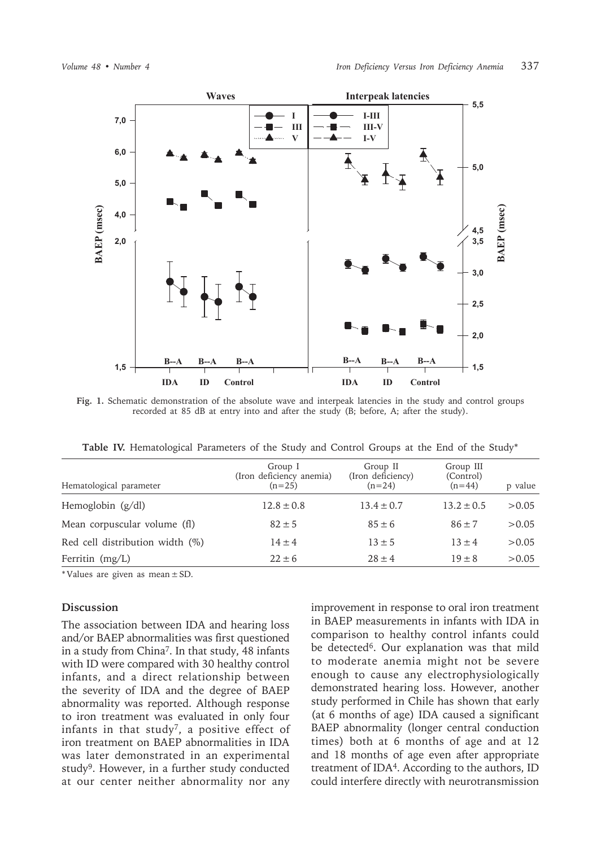

**Fig. 1.** Schematic demonstration of the absolute wave and interpeak latencies in the study and control groups recorded at 85 dB at entry into and after the study (B; before, A; after the study).

**Table IV.** Hematological Parameters of the Study and Control Groups at the End of the Study\*

| Hematological parameter         | Group I<br>(Iron deficiency anemia)<br>$(n=25)$ | Group II<br>(Iron deficiency)<br>$(n=24)$ | Group III<br>(Control)<br>$(n=44)$ | p value |
|---------------------------------|-------------------------------------------------|-------------------------------------------|------------------------------------|---------|
| Hemoglobin $(g/dl)$             | $12.8 \pm 0.8$                                  | $13.4 \pm 0.7$                            | $13.2 \pm 0.5$                     | > 0.05  |
| Mean corpuscular volume (fl)    | $82 \pm 5$                                      | $85 \pm 6$                                | $86 + 7$                           | > 0.05  |
| Red cell distribution width (%) | $14 \pm 4$                                      | $13 \pm 5$                                | $13 \pm 4$                         | > 0.05  |
| Ferritin $(mg/L)$               | $22 \pm 6$                                      | $28 + 4$                                  | $19 + 8$                           | > 0.05  |

\* Values are given as mean  $\pm$  SD.

### **Discussion**

The association between IDA and hearing loss and/or BAEP abnormalities was first questioned in a study from China7. In that study, 48 infants with ID were compared with 30 healthy control infants, and a direct relationship between the severity of IDA and the degree of BAEP abnormality was reported. Although response to iron treatment was evaluated in only four infants in that study<sup>7</sup>, a positive effect of iron treatment on BAEP abnormalities in IDA was later demonstrated in an experimental study9. However, in a further study conducted at our center neither abnormality nor any improvement in response to oral iron treatment in BAEP measurements in infants with IDA in comparison to healthy control infants could be detected<sup>6</sup>. Our explanation was that mild to moderate anemia might not be severe enough to cause any electrophysiologically demonstrated hearing loss. However, another study performed in Chile has shown that early (at 6 months of age) IDA caused a significant BAEP abnormality (longer central conduction times) both at 6 months of age and at 12 and 18 months of age even after appropriate treatment of IDA4. According to the authors, ID could interfere directly with neurotransmission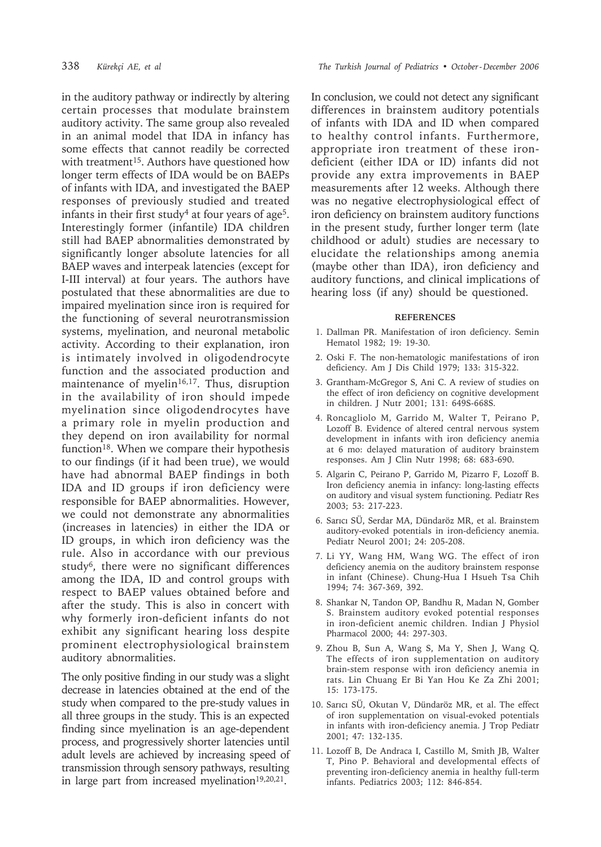in the auditory pathway or indirectly by altering certain processes that modulate brainstem auditory activity. The same group also revealed in an animal model that IDA in infancy has some effects that cannot readily be corrected with treatment<sup>15</sup>. Authors have questioned how longer term effects of IDA would be on BAEPs of infants with IDA, and investigated the BAEP responses of previously studied and treated infants in their first study<sup>4</sup> at four years of age<sup>5</sup>. Interestingly former (infantile) IDA children still had BAEP abnormalities demonstrated by significantly longer absolute latencies for all BAEP waves and interpeak latencies (except for I-III interval) at four years. The authors have postulated that these abnormalities are due to impaired myelination since iron is required for the functioning of several neurotransmission systems, myelination, and neuronal metabolic activity. According to their explanation, iron is intimately involved in oligodendrocyte function and the associated production and maintenance of myelin<sup>16,17</sup>. Thus, disruption in the availability of iron should impede myelination since oligodendrocytes have a primary role in myelin production and they depend on iron availability for normal function<sup>18</sup>. When we compare their hypothesis to our findings (if it had been true), we would have had abnormal BAEP findings in both IDA and ID groups if iron deficiency were responsible for BAEP abnormalities. However, we could not demonstrate any abnormalities (increases in latencies) in either the IDA or ID groups, in which iron deficiency was the rule. Also in accordance with our previous study6, there were no significant differences among the IDA, ID and control groups with respect to BAEP values obtained before and after the study. This is also in concert with why formerly iron-deficient infants do not exhibit any significant hearing loss despite prominent electrophysiological brainstem auditory abnormalities.

The only positive finding in our study was a slight decrease in latencies obtained at the end of the study when compared to the pre-study values in all three groups in the study. This is an expected finding since myelination is an age-dependent process, and progressively shorter latencies until adult levels are achieved by increasing speed of transmission through sensory pathways, resulting in large part from increased myelination<sup>19,20,21</sup>.

In conclusion, we could not detect any significant differences in brainstem auditory potentials of infants with IDA and ID when compared to healthy control infants. Furthermore, appropriate iron treatment of these irondeficient (either IDA or ID) infants did not provide any extra improvements in BAEP measurements after 12 weeks. Although there was no negative electrophysiological effect of iron deficiency on brainstem auditory functions in the present study, further longer term (late childhood or adult) studies are necessary to elucidate the relationships among anemia (maybe other than IDA), iron deficiency and auditory functions, and clinical implications of hearing loss (if any) should be questioned.

### **REFERENCES**

- 1. Dallman PR. Manifestation of iron deficiency. Semin Hematol 1982; 19: 19-30.
- 2. Oski F. The non-hematologic manifestations of iron deficiency. Am J Dis Child 1979; 133: 315-322.
- 3. Grantham-McGregor S, Ani C. A review of studies on the effect of iron deficiency on cognitive development in children. J Nutr 2001; 131: 649S-668S.
- 4. Roncagliolo M, Garrido M, Walter T, Peirano P, Lozoff B. Evidence of altered central nervous system development in infants with iron deficiency anemia at 6 mo: delayed maturation of auditory brainstem responses. Am J Clin Nutr 1998; 68: 683-690.
- 5. Algarin C, Peirano P, Garrido M, Pizarro F, Lozoff B. Iron deficiency anemia in infancy: long-lasting effects on auditory and visual system functioning. Pediatr Res 2003; 53: 217-223.
- 6. Sarıcı SÜ, Serdar MA, Dündaröz MR, et al. Brainstem auditory-evoked potentials in iron-deficiency anemia. Pediatr Neurol 2001; 24: 205-208.
- 7. Li YY, Wang HM, Wang WG. The effect of iron deficiency anemia on the auditory brainstem response in infant (Chinese). Chung-Hua I Hsueh Tsa Chih 1994; 74: 367-369, 392.
- 8. Shankar N, Tandon OP, Bandhu R, Madan N, Gomber S. Brainstem auditory evoked potential responses in iron-deficient anemic children. Indian J Physiol Pharmacol 2000; 44: 297-303.
- 9. Zhou B, Sun A, Wang S, Ma Y, Shen J, Wang Q. The effects of iron supplementation on auditory brain-stem response with iron deficiency anemia in rats. Lin Chuang Er Bi Yan Hou Ke Za Zhi 2001; 15: 173-175.
- 10. Sarıcı SÜ, Okutan V, Dündaröz MR, et al. The effect of iron supplementation on visual-evoked potentials in infants with iron-deficiency anemia. J Trop Pediatr 2001; 47: 132-135.
- 11. Lozoff B, De Andraca I, Castillo M, Smith JB, Walter T, Pino P. Behavioral and developmental effects of preventing iron-deficiency anemia in healthy full-term infants. Pediatrics 2003; 112: 846-854.